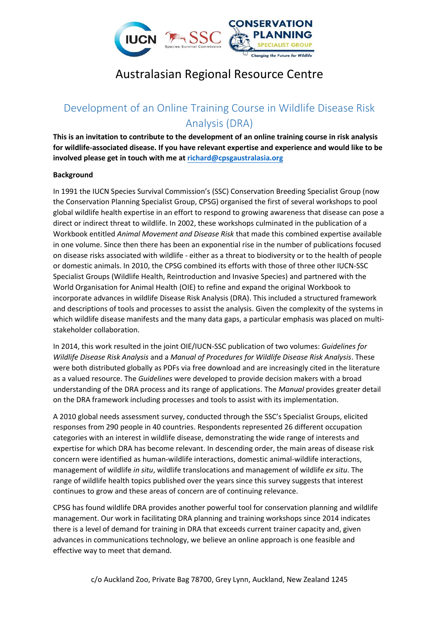

# Australasian Regional Resource Centre

# Development of an Online Training Course in Wildlife Disease Risk Analysis (DRA)

**This is an invitation to contribute to the development of an online training course in risk analysis for wildlife-associated disease. If you have relevant expertise and experience and would like to be involved please get in touch with me at [richard@cpsgaustralasia.org](mailto:richard@cpsgaustralasia.org)**

#### **Background**

In 1991 the IUCN Species Survival Commission's (SSC) Conservation Breeding Specialist Group (now the Conservation Planning Specialist Group, CPSG) organised the first of several workshops to pool global wildlife health expertise in an effort to respond to growing awareness that disease can pose a direct or indirect threat to wildlife. In 2002, these workshops culminated in the publication of a Workbook entitled *Animal Movement and Disease Risk* that made this combined expertise available in one volume. Since then there has been an exponential rise in the number of publications focused on disease risks associated with wildlife - either as a threat to biodiversity or to the health of people or domestic animals. In 2010, the CPSG combined its efforts with those of three other IUCN-SSC Specialist Groups (Wildlife Health, Reintroduction and Invasive Species) and partnered with the World Organisation for Animal Health (OIE) to refine and expand the original Workbook to incorporate advances in wildlife Disease Risk Analysis (DRA). This included a structured framework and descriptions of tools and processes to assist the analysis. Given the complexity of the systems in which wildlife disease manifests and the many data gaps, a particular emphasis was placed on multistakeholder collaboration.

In 2014, this work resulted in the joint OIE/IUCN-SSC publication of two volumes: *Guidelines for Wildlife Disease Risk Analysis* and a *Manual of Procedures for Wildlife Disease Risk Analysis*. These were both distributed globally as PDFs via free download and are increasingly cited in the literature as a valued resource. The *Guidelines* were developed to provide decision makers with a broad understanding of the DRA process and its range of applications. The *Manual* provides greater detail on the DRA framework including processes and tools to assist with its implementation.

A 2010 global needs assessment survey, conducted through the SSC's Specialist Groups, elicited responses from 290 people in 40 countries. Respondents represented 26 different occupation categories with an interest in wildlife disease, demonstrating the wide range of interests and expertise for which DRA has become relevant. In descending order, the main areas of disease risk concern were identified as human-wildlife interactions, domestic animal-wildlife interactions, management of wildlife *in situ*, wildlife translocations and management of wildlife *ex situ*. The range of wildlife health topics published over the years since this survey suggests that interest continues to grow and these areas of concern are of continuing relevance.

CPSG has found wildlife DRA provides another powerful tool for conservation planning and wildlife management. Our work in facilitating DRA planning and training workshops since 2014 indicates there is a level of demand for training in DRA that exceeds current trainer capacity and, given advances in communications technology, we believe an online approach is one feasible and effective way to meet that demand.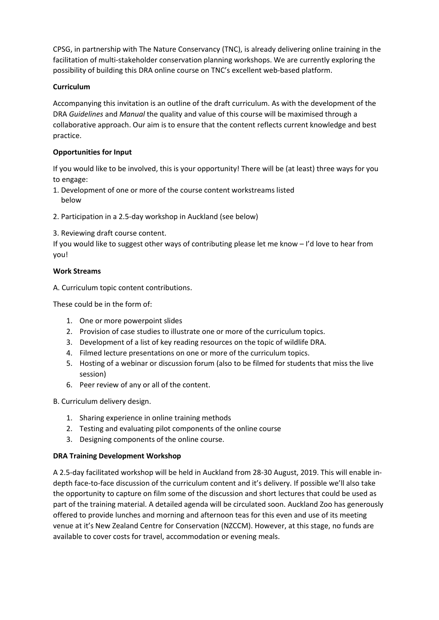CPSG, in partnership with The Nature Conservancy (TNC), is already delivering online training in the facilitation of multi-stakeholder conservation planning workshops. We are currently exploring the possibility of building this DRA online course on TNC's excellent web-based platform.

## **Curriculum**

Accompanying this invitation is an outline of the draft curriculum. As with the development of the DRA *Guidelines* and *Manual* the quality and value of this course will be maximised through a collaborative approach. Our aim is to ensure that the content reflects current knowledge and best practice.

## **Opportunities for Input**

If you would like to be involved, this is your opportunity! There will be (at least) three ways for you to engage:

- 1. Development of one or more of the course content workstreams listed below
- 2. Participation in a 2.5-day workshop in Auckland (see below)

3. Reviewing draft course content.

If you would like to suggest other ways of contributing please let me know – I'd love to hear from you!

#### **Work Streams**

A. Curriculum topic content contributions.

These could be in the form of:

- 1. One or more powerpoint slides
- 2. Provision of case studies to illustrate one or more of the curriculum topics.
- 3. Development of a list of key reading resources on the topic of wildlife DRA.
- 4. Filmed lecture presentations on one or more of the curriculum topics.
- 5. Hosting of a webinar or discussion forum (also to be filmed for students that miss the live session)
- 6. Peer review of any or all of the content.

B. Curriculum delivery design.

- 1. Sharing experience in online training methods
- 2. Testing and evaluating pilot components of the online course
- 3. Designing components of the online course.

# **DRA Training Development Workshop**

A 2.5-day facilitated workshop will be held in Auckland from 28-30 August, 2019. This will enable indepth face-to-face discussion of the curriculum content and it's delivery. If possible we'll also take the opportunity to capture on film some of the discussion and short lectures that could be used as part of the training material. A detailed agenda will be circulated soon. Auckland Zoo has generously offered to provide lunches and morning and afternoon teas for this even and use of its meeting venue at it's New Zealand Centre for Conservation (NZCCM). However, at this stage, no funds are available to cover costs for travel, accommodation or evening meals.